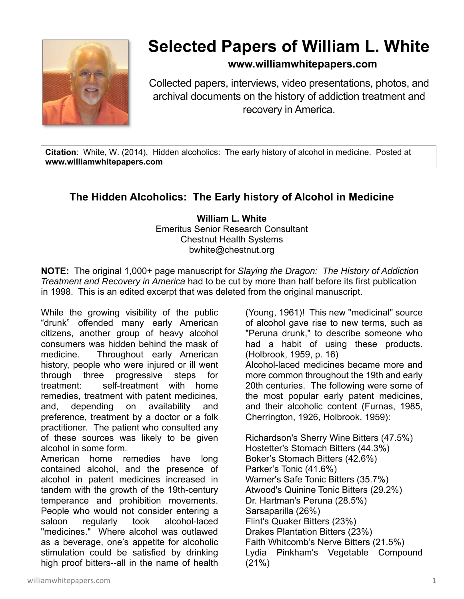

## **Selected Papers of William L. White**

## **www.williamwhitepapers.com**

Collected papers, interviews, video presentations, photos, and archival documents on the history of addiction treatment and recovery in America.

**Citation**: White, W. (2014). Hidden alcoholics: The early history of alcohol in medicine. Posted at **www.williamwhitepapers.com** 

## **The Hidden Alcoholics: The Early history of Alcohol in Medicine**

**William L. White**  Emeritus Senior Research Consultant Chestnut Health Systems bwhite@chestnut.org

**NOTE:** The original 1,000+ page manuscript for *Slaying the Dragon: The History of Addiction Treatment and Recovery in America* had to be cut by more than half before its first publication in 1998. This is an edited excerpt that was deleted from the original manuscript.

While the growing visibility of the public "drunk" offended many early American citizens, another group of heavy alcohol consumers was hidden behind the mask of medicine. Throughout early American history, people who were injured or ill went through three progressive steps for treatment: self-treatment with home remedies, treatment with patent medicines, and, depending on availability and preference, treatment by a doctor or a folk practitioner. The patient who consulted any of these sources was likely to be given alcohol in some form.

American home remedies have long contained alcohol, and the presence of alcohol in patent medicines increased in tandem with the growth of the 19th-century temperance and prohibition movements. People who would not consider entering a saloon regularly took alcohol-laced "medicines." Where alcohol was outlawed as a beverage, one's appetite for alcoholic stimulation could be satisfied by drinking high proof bitters--all in the name of health (Young, 1961)! This new "medicinal" source of alcohol gave rise to new terms, such as "Peruna drunk," to describe someone who had a habit of using these products. (Holbrook, 1959, p. 16) Alcohol-laced medicines became more and more common throughout the 19th and early 20th centuries. The following were some of the most popular early patent medicines, and their alcoholic content (Furnas, 1985, Cherrington, 1926, Holbrook, 1959):

Richardson's Sherry Wine Bitters (47.5%) Hostetter's Stomach Bitters (44.3%) Boker's Stomach Bitters (42.6%) Parker's Tonic (41.6%) Warner's Safe Tonic Bitters (35.7%) Atwood's Quinine Tonic Bitters (29.2%) Dr. Hartman's Peruna (28.5%) Sarsaparilla (26%) Flint's Quaker Bitters (23%) Drakes Plantation Bitters (23%) Faith Whitcomb's Nerve Bitters (21.5%) Lydia Pinkham's Vegetable Compound (21%)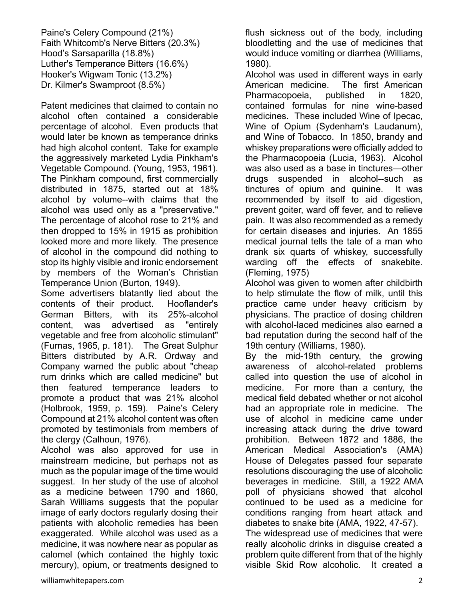Patent medicines that claimed to contain no alcohol often contained a considerable percentage of alcohol. Even products that would later be known as temperance drinks had high alcohol content. Take for example the aggressively marketed Lydia Pinkham's Vegetable Compound. (Young, 1953, 1961). The Pinkham compound, first commercially distributed in 1875, started out at 18% alcohol by volume--with claims that the alcohol was used only as a "preservative." The percentage of alcohol rose to 21% and then dropped to 15% in 1915 as prohibition looked more and more likely. The presence of alcohol in the compound did nothing to stop its highly visible and ironic endorsement by members of the Woman's Christian Temperance Union (Burton, 1949).

Some advertisers blatantly lied about the contents of their product. Hooflander's German Bitters, with its 25%-alcohol content, was advertised as "entirely vegetable and free from alcoholic stimulant" (Furnas, 1965, p. 181). The Great Sulphur Bitters distributed by A.R. Ordway and Company warned the public about "cheap rum drinks which are called medicine" but then featured temperance leaders to promote a product that was 21% alcohol (Holbrook, 1959, p. 159). Paine's Celery Compound at 21% alcohol content was often promoted by testimonials from members of the clergy (Calhoun, 1976).

Alcohol was also approved for use in mainstream medicine, but perhaps not as much as the popular image of the time would suggest. In her study of the use of alcohol as a medicine between 1790 and 1860, Sarah Williams suggests that the popular image of early doctors regularly dosing their patients with alcoholic remedies has been exaggerated. While alcohol was used as a medicine, it was nowhere near as popular as calomel (which contained the highly toxic mercury), opium, or treatments designed to flush sickness out of the body, including bloodletting and the use of medicines that would induce vomiting or diarrhea (Williams, 1980).

Alcohol was used in different ways in early American medicine. The first American Pharmacopoeia, published in 1820, contained formulas for nine wine-based medicines. These included Wine of Ipecac, Wine of Opium (Sydenham's Laudanum), and Wine of Tobacco. In 1850, brandy and whiskey preparations were officially added to the Pharmacopoeia (Lucia, 1963). Alcohol was also used as a base in tinctures—other drugs suspended in alcohol--such as tinctures of opium and quinine. It was recommended by itself to aid digestion, prevent goiter, ward off fever, and to relieve pain. It was also recommended as a remedy for certain diseases and injuries. An 1855 medical journal tells the tale of a man who drank six quarts of whiskey, successfully warding off the effects of snakebite. (Fleming, 1975)

Alcohol was given to women after childbirth to help stimulate the flow of milk, until this practice came under heavy criticism by physicians. The practice of dosing children with alcohol-laced medicines also earned a bad reputation during the second half of the 19th century (Williams, 1980).

By the mid-19th century, the growing awareness of alcohol-related problems called into question the use of alcohol in medicine. For more than a century, the medical field debated whether or not alcohol had an appropriate role in medicine. The use of alcohol in medicine came under increasing attack during the drive toward prohibition. Between 1872 and 1886, the American Medical Association's (AMA) House of Delegates passed four separate resolutions discouraging the use of alcoholic beverages in medicine. Still, a 1922 AMA poll of physicians showed that alcohol continued to be used as a medicine for conditions ranging from heart attack and diabetes to snake bite (AMA, 1922, 47-57).

The widespread use of medicines that were really alcoholic drinks in disguise created a problem quite different from that of the highly visible Skid Row alcoholic. It created a